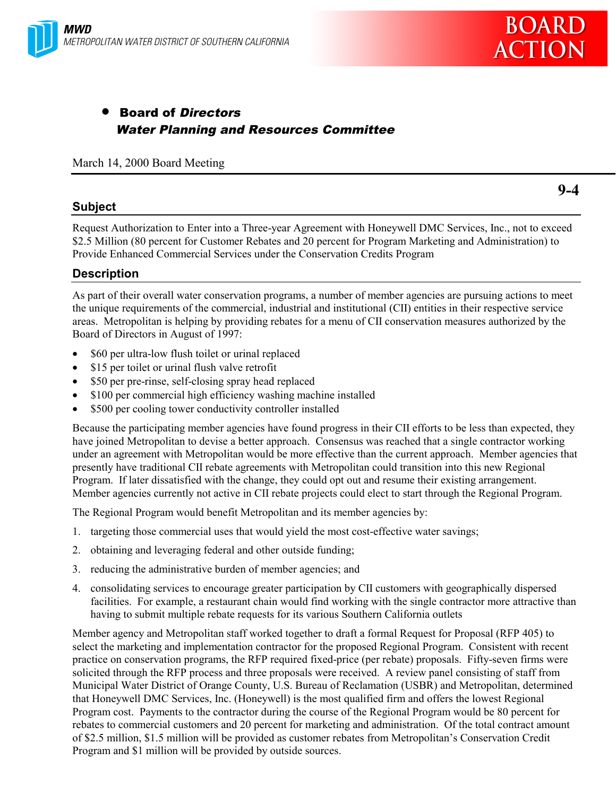



# • Board of Directors Water Planning and Resources Committee

March 14, 2000 Board Meeting

### **Subject**

**9-4**

Request Authorization to Enter into a Three-year Agreement with Honeywell DMC Services, Inc., not to exceed \$2.5 Million (80 percent for Customer Rebates and 20 percent for Program Marketing and Administration) to Provide Enhanced Commercial Services under the Conservation Credits Program

# **Description**

As part of their overall water conservation programs, a number of member agencies are pursuing actions to meet the unique requirements of the commercial, industrial and institutional (CII) entities in their respective service areas. Metropolitan is helping by providing rebates for a menu of CII conservation measures authorized by the Board of Directors in August of 1997:

- \$60 per ultra-low flush toilet or urinal replaced
- \$15 per toilet or urinal flush valve retrofit
- \$50 per pre-rinse, self-closing spray head replaced
- \$100 per commercial high efficiency washing machine installed
- \$500 per cooling tower conductivity controller installed

Because the participating member agencies have found progress in their CII efforts to be less than expected, they have joined Metropolitan to devise a better approach. Consensus was reached that a single contractor working under an agreement with Metropolitan would be more effective than the current approach. Member agencies that presently have traditional CII rebate agreements with Metropolitan could transition into this new Regional Program. If later dissatisfied with the change, they could opt out and resume their existing arrangement. Member agencies currently not active in CII rebate projects could elect to start through the Regional Program.

The Regional Program would benefit Metropolitan and its member agencies by:

- 1. targeting those commercial uses that would yield the most cost-effective water savings;
- 2. obtaining and leveraging federal and other outside funding;
- 3. reducing the administrative burden of member agencies; and
- 4. consolidating services to encourage greater participation by CII customers with geographically dispersed facilities. For example, a restaurant chain would find working with the single contractor more attractive than having to submit multiple rebate requests for its various Southern California outlets

Member agency and Metropolitan staff worked together to draft a formal Request for Proposal (RFP 405) to select the marketing and implementation contractor for the proposed Regional Program. Consistent with recent practice on conservation programs, the RFP required fixed-price (per rebate) proposals. Fifty-seven firms were solicited through the RFP process and three proposals were received. A review panel consisting of staff from Municipal Water District of Orange County, U.S. Bureau of Reclamation (USBR) and Metropolitan, determined that Honeywell DMC Services, Inc. (Honeywell) is the most qualified firm and offers the lowest Regional Program cost. Payments to the contractor during the course of the Regional Program would be 80 percent for rebates to commercial customers and 20 percent for marketing and administration. Of the total contract amount of \$2.5 million, \$1.5 million will be provided as customer rebates from Metropolitan's Conservation Credit Program and \$1 million will be provided by outside sources.